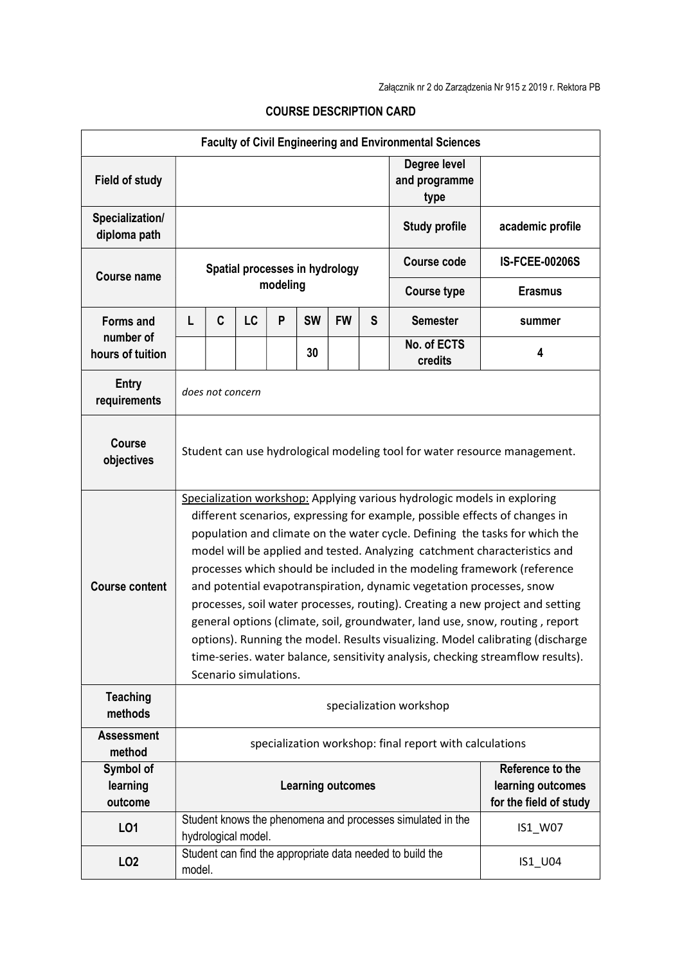| <b>Faculty of Civil Engineering and Environmental Sciences</b> |                                                                                                                                                                                                                                                                                                                                                                                                                                                                                                                                                                                                                                                                                                                                                                                                                                       |   |                     |          |           |           |   |                                                                       |                       |  |  |
|----------------------------------------------------------------|---------------------------------------------------------------------------------------------------------------------------------------------------------------------------------------------------------------------------------------------------------------------------------------------------------------------------------------------------------------------------------------------------------------------------------------------------------------------------------------------------------------------------------------------------------------------------------------------------------------------------------------------------------------------------------------------------------------------------------------------------------------------------------------------------------------------------------------|---|---------------------|----------|-----------|-----------|---|-----------------------------------------------------------------------|-----------------------|--|--|
| <b>Field of study</b>                                          |                                                                                                                                                                                                                                                                                                                                                                                                                                                                                                                                                                                                                                                                                                                                                                                                                                       |   |                     |          |           |           |   | Degree level<br>and programme<br>type                                 |                       |  |  |
| Specialization/<br>diploma path                                |                                                                                                                                                                                                                                                                                                                                                                                                                                                                                                                                                                                                                                                                                                                                                                                                                                       |   |                     |          |           |           |   | <b>Study profile</b>                                                  | academic profile      |  |  |
| <b>Course name</b>                                             | Spatial processes in hydrology                                                                                                                                                                                                                                                                                                                                                                                                                                                                                                                                                                                                                                                                                                                                                                                                        |   |                     |          |           |           |   | <b>Course code</b>                                                    | <b>IS-FCEE-00206S</b> |  |  |
|                                                                |                                                                                                                                                                                                                                                                                                                                                                                                                                                                                                                                                                                                                                                                                                                                                                                                                                       |   |                     | modeling |           |           |   | <b>Course type</b>                                                    | <b>Erasmus</b>        |  |  |
| <b>Forms and</b><br>number of<br>hours of tuition              | L                                                                                                                                                                                                                                                                                                                                                                                                                                                                                                                                                                                                                                                                                                                                                                                                                                     | C | <b>LC</b>           | P        | <b>SW</b> | <b>FW</b> | S | <b>Semester</b>                                                       | summer                |  |  |
|                                                                |                                                                                                                                                                                                                                                                                                                                                                                                                                                                                                                                                                                                                                                                                                                                                                                                                                       |   |                     |          | 30        |           |   | No. of ECTS<br>credits                                                | 4                     |  |  |
| <b>Entry</b><br>requirements                                   | does not concern                                                                                                                                                                                                                                                                                                                                                                                                                                                                                                                                                                                                                                                                                                                                                                                                                      |   |                     |          |           |           |   |                                                                       |                       |  |  |
| Course<br>objectives                                           | Student can use hydrological modeling tool for water resource management.                                                                                                                                                                                                                                                                                                                                                                                                                                                                                                                                                                                                                                                                                                                                                             |   |                     |          |           |           |   |                                                                       |                       |  |  |
| <b>Course content</b>                                          | Specialization workshop: Applying various hydrologic models in exploring<br>different scenarios, expressing for example, possible effects of changes in<br>population and climate on the water cycle. Defining the tasks for which the<br>model will be applied and tested. Analyzing catchment characteristics and<br>processes which should be included in the modeling framework (reference<br>and potential evapotranspiration, dynamic vegetation processes, snow<br>processes, soil water processes, routing). Creating a new project and setting<br>general options (climate, soil, groundwater, land use, snow, routing, report<br>options). Running the model. Results visualizing. Model calibrating (discharge<br>time-series. water balance, sensitivity analysis, checking streamflow results).<br>Scenario simulations. |   |                     |          |           |           |   |                                                                       |                       |  |  |
| <b>Teaching</b><br>methods                                     | specialization workshop                                                                                                                                                                                                                                                                                                                                                                                                                                                                                                                                                                                                                                                                                                                                                                                                               |   |                     |          |           |           |   |                                                                       |                       |  |  |
| <b>Assessment</b><br>method                                    |                                                                                                                                                                                                                                                                                                                                                                                                                                                                                                                                                                                                                                                                                                                                                                                                                                       |   |                     |          |           |           |   | specialization workshop: final report with calculations               |                       |  |  |
| Symbol of<br>learning<br>outcome                               | Reference to the<br>learning outcomes<br><b>Learning outcomes</b><br>for the field of study                                                                                                                                                                                                                                                                                                                                                                                                                                                                                                                                                                                                                                                                                                                                           |   |                     |          |           |           |   |                                                                       |                       |  |  |
| LO1                                                            |                                                                                                                                                                                                                                                                                                                                                                                                                                                                                                                                                                                                                                                                                                                                                                                                                                       |   | hydrological model. |          |           |           |   | Student knows the phenomena and processes simulated in the<br>IS1_W07 |                       |  |  |
| LO <sub>2</sub>                                                | Student can find the appropriate data needed to build the<br>IS1_U04<br>model.                                                                                                                                                                                                                                                                                                                                                                                                                                                                                                                                                                                                                                                                                                                                                        |   |                     |          |           |           |   |                                                                       |                       |  |  |

## COURSE DESCRIPTION CARD